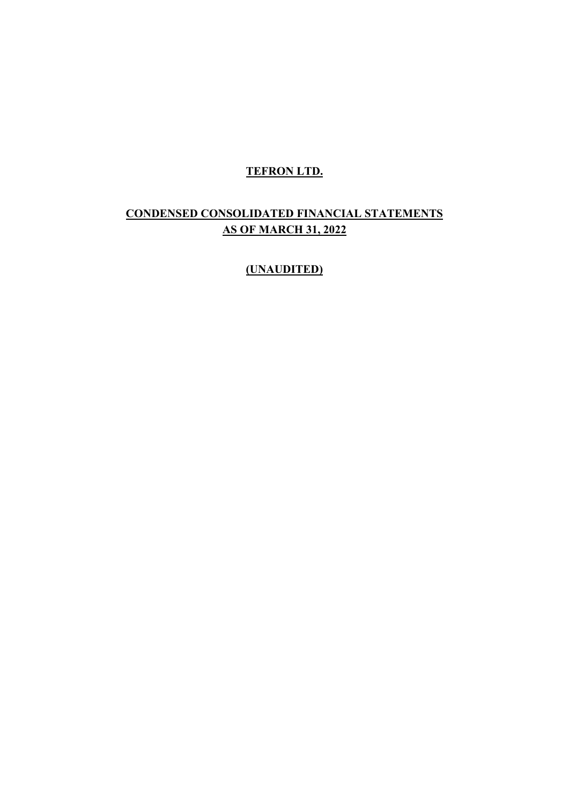# TEFRON LTD.

# CONDENSED CONSOLIDATED FINANCIAL STATEMENTS AS OF MARCH 31, 2022

# (UNAUDITED)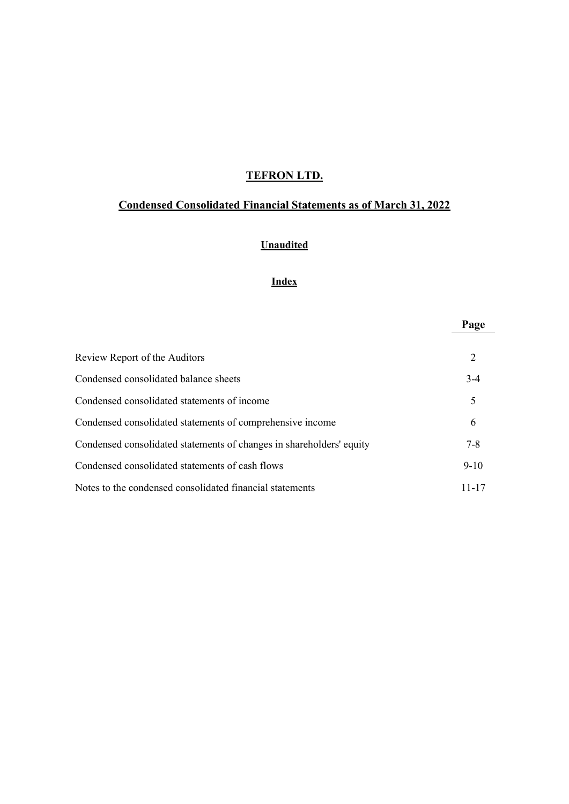# **TEFRON LTD.**

# Condensed Consolidated Financial Statements as of March 31, 2022

## **Unaudited**

# Index

Page

| Review Report of the Auditors                                        | 2        |
|----------------------------------------------------------------------|----------|
| Condensed consolidated balance sheets                                | $3-4$    |
| Condensed consolidated statements of income                          | 5        |
| Condensed consolidated statements of comprehensive income            | 6        |
| Condensed consolidated statements of changes in shareholders' equity | $7 - 8$  |
| Condensed consolidated statements of cash flows                      | $9 - 10$ |
| Notes to the condensed consolidated financial statements             | 11-17    |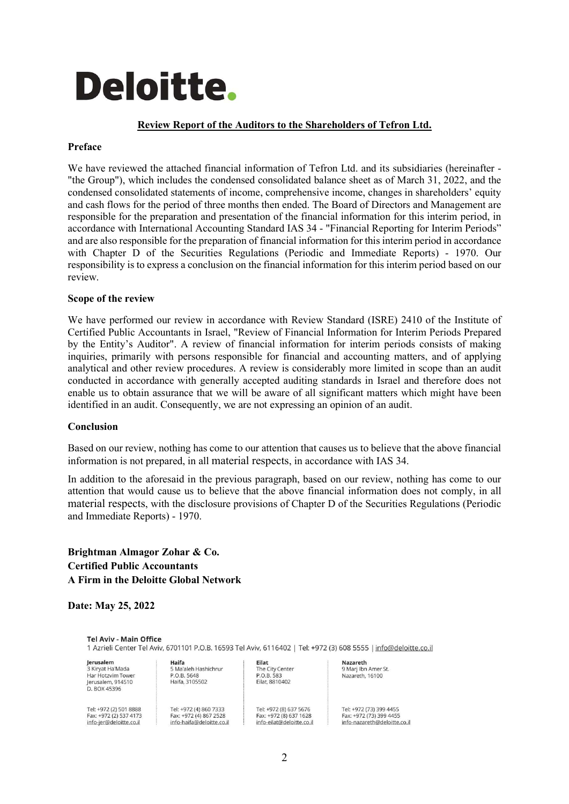# **Deloitte.**

#### Review Report of the Auditors to the Shareholders of Tefron Ltd.

#### Preface

We have reviewed the attached financial information of Tefron Ltd. and its subsidiaries (hereinafter - "the Group"), which includes the condensed consolidated balance sheet as of March 31, 2022, and the condensed consolidated statements of income, comprehensive income, changes in shareholders' equity and cash flows for the period of three months then ended. The Board of Directors and Management are responsible for the preparation and presentation of the financial information for this interim period, in accordance with International Accounting Standard IAS 34 - "Financial Reporting for Interim Periods" and are also responsible for the preparation of financial information for this interim period in accordance with Chapter D of the Securities Regulations (Periodic and Immediate Reports) - 1970. Our responsibility is to express a conclusion on the financial information for this interim period based on our review.

#### Scope of the review

We have performed our review in accordance with Review Standard (ISRE) 2410 of the Institute of Certified Public Accountants in Israel, "Review of Financial Information for Interim Periods Prepared by the Entity's Auditor". A review of financial information for interim periods consists of making inquiries, primarily with persons responsible for financial and accounting matters, and of applying analytical and other review procedures. A review is considerably more limited in scope than an audit conducted in accordance with generally accepted auditing standards in Israel and therefore does not enable us to obtain assurance that we will be aware of all significant matters which might have been identified in an audit. Consequently, we are not expressing an opinion of an audit.

#### Conclusion

Based on our review, nothing has come to our attention that causes us to believe that the above financial information is not prepared, in all material respects, in accordance with IAS 34.

In addition to the aforesaid in the previous paragraph, based on our review, nothing has come to our attention that would cause us to believe that the above financial information does not comply, in all material respects, with the disclosure provisions of Chapter D of the Securities Regulations (Periodic and Immediate Reports) - 1970.

Brightman Almagor Zohar & Co. Certified Public Accountants A Firm in the Deloitte Global Network

Date: May 25, 2022

**Tel Aviv - Main Office** 1 Azrieli Center Tel Aviv, 6701101 P.O.B. 16593 Tel Aviv, 6116402 | Tel: +972 (3) 608 5555 | info@deloitte.co.il

| lerusalem<br>3 Kiryat Ha'Mada<br>Har Hotzvim Tower<br>Jerusalem, 914510<br>D. BOX 45396 | Haifa<br>5 Ma'aleh Hashichrur<br>P.O.B. 5648<br>Haifa, 3105502 | Eilat<br>The City Center<br>P.O.B. 583<br>Eilat, 8810402 | Nazareth<br>9 Mari Ibn Amer St.<br>Nazareth, 16100 |
|-----------------------------------------------------------------------------------------|----------------------------------------------------------------|----------------------------------------------------------|----------------------------------------------------|
| Tel: +972 (2) 501 8888                                                                  | Tel: +972 (4) 860 7333                                         | Tel: +972 (8) 637 5676                                   | Tel: +972 (73) 399 4455                            |
| Fax: +972 (2) 537 4173                                                                  | Fax: +972 (4) 867 2528                                         | Fax: +972 (8) 637 1628                                   | Fax: +972 (73) 399 4455                            |
| info-jer@deloitte.co.il                                                                 | info-haifa@deloitte.co.il                                      | info-eilat@deloitte.co.il                                | info-pazareth@deloitte.co.il                       |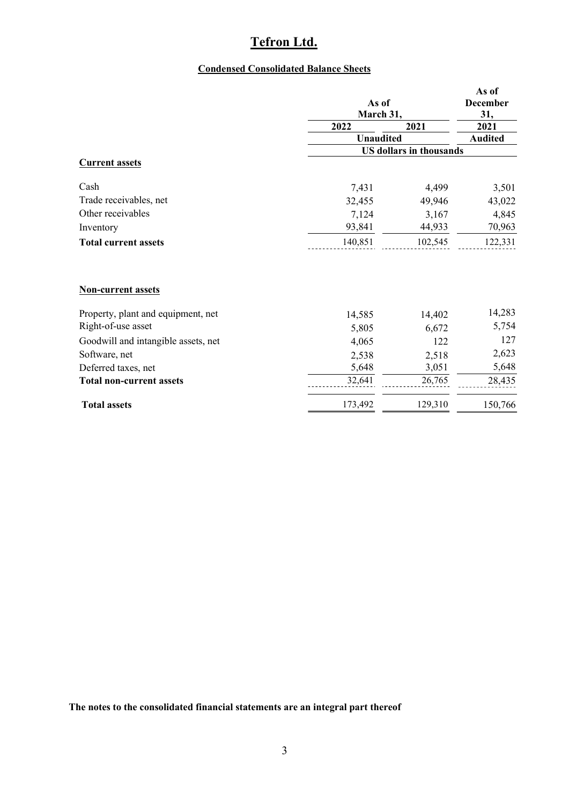## Condensed Consolidated Balance Sheets

|                                     |                  |                                | As of           |  |
|-------------------------------------|------------------|--------------------------------|-----------------|--|
|                                     | As of            |                                | <b>December</b> |  |
|                                     | March 31,        |                                | 31,             |  |
|                                     | 2022             | 2021                           | 2021            |  |
|                                     | <b>Unaudited</b> |                                | <b>Audited</b>  |  |
|                                     |                  | <b>US dollars in thousands</b> |                 |  |
| <b>Current assets</b>               |                  |                                |                 |  |
| Cash                                | 7,431            | 4,499                          | 3,501           |  |
| Trade receivables, net              | 32,455           | 49,946                         | 43,022          |  |
| Other receivables                   | 7,124            | 3,167                          | 4,845           |  |
| Inventory                           | 93,841           | 44,933                         | 70,963          |  |
| <b>Total current assets</b>         | 140,851          | 102,545                        | 122,331         |  |
| <b>Non-current assets</b>           |                  |                                |                 |  |
| Property, plant and equipment, net  | 14,585           | 14,402                         | 14,283          |  |
| Right-of-use asset                  |                  |                                | 5,754           |  |
|                                     | 5,805            | 6,672                          |                 |  |
| Goodwill and intangible assets, net | 4,065            | 122                            | 127             |  |
| Software, net                       | 2,538            | 2,518                          | 2,623           |  |
| Deferred taxes, net                 | 5,648            | 3,051                          | 5,648           |  |
| <b>Total non-current assets</b>     | 32,641           | 26,765                         | 28,435          |  |
| <b>Total assets</b>                 | 173,492          | 129,310                        | 150,766         |  |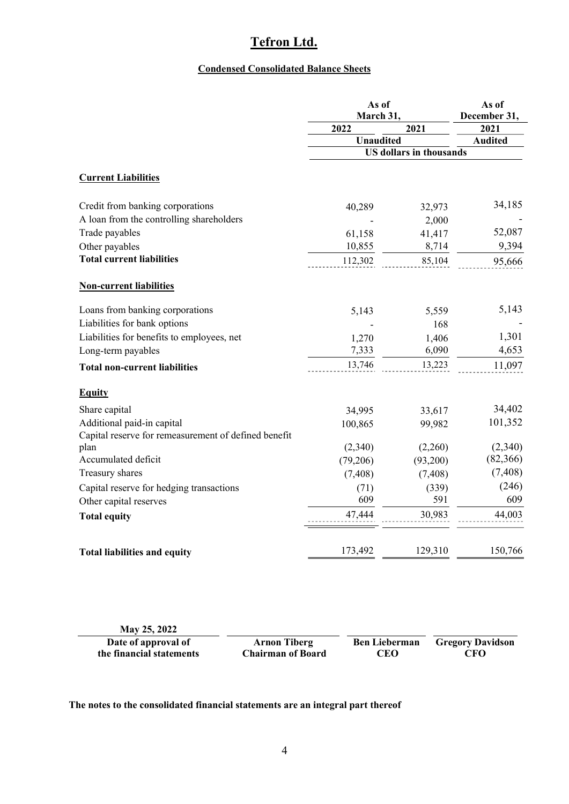## Condensed Consolidated Balance Sheets

|                                                      | As of<br>March 31, |                                | As of<br>December 31, |
|------------------------------------------------------|--------------------|--------------------------------|-----------------------|
|                                                      | 2022               | 2021                           | 2021                  |
|                                                      | <b>Unaudited</b>   |                                | <b>Audited</b>        |
|                                                      |                    | <b>US dollars in thousands</b> |                       |
| <b>Current Liabilities</b>                           |                    |                                |                       |
| Credit from banking corporations                     | 40,289             | 32,973                         | 34,185                |
| A loan from the controlling shareholders             |                    | 2,000                          |                       |
| Trade payables                                       | 61,158             | 41,417                         | 52,087                |
| Other payables                                       | 10,855             | 8,714                          | 9,394                 |
| <b>Total current liabilities</b>                     | 112,302            | 85,104                         | 95,666                |
| <b>Non-current liabilities</b>                       |                    |                                |                       |
| Loans from banking corporations                      | 5,143              | 5,559                          | 5,143                 |
| Liabilities for bank options                         |                    | 168                            |                       |
| Liabilities for benefits to employees, net           | 1,270              | 1,406                          | 1,301                 |
| Long-term payables                                   | 7,333              | 6,090                          | 4,653                 |
| <b>Total non-current liabilities</b>                 | 13,746             | 13,223                         | 11,097                |
| <b>Equity</b>                                        |                    |                                |                       |
| Share capital                                        | 34,995             | 33,617                         | 34,402                |
| Additional paid-in capital                           | 100,865            | 99,982                         | 101,352               |
| Capital reserve for remeasurement of defined benefit |                    |                                |                       |
| plan                                                 | (2,340)            | (2,260)                        | (2,340)               |
| Accumulated deficit                                  | (79,206)           | (93,200)                       | (82,366)              |
| Treasury shares                                      | (7, 408)           | (7, 408)                       | (7, 408)              |
| Capital reserve for hedging transactions             | (71)               | (339)                          | (246)                 |
| Other capital reserves                               | 609                | 591                            | 609                   |
| <b>Total equity</b>                                  | 47,444             | 30,983                         | 44,003                |
| <b>Total liabilities and equity</b>                  | 173,492            | 129,310                        | 150,766               |
|                                                      |                    |                                |                       |

| May 25, 2022             |                          |                      |                         |
|--------------------------|--------------------------|----------------------|-------------------------|
| Date of approval of      | <b>Arnon Tiberg</b>      | <b>Ben Lieberman</b> | <b>Gregory Davidson</b> |
| the financial statements | <b>Chairman of Board</b> | CEO.                 | <b>CFO</b>              |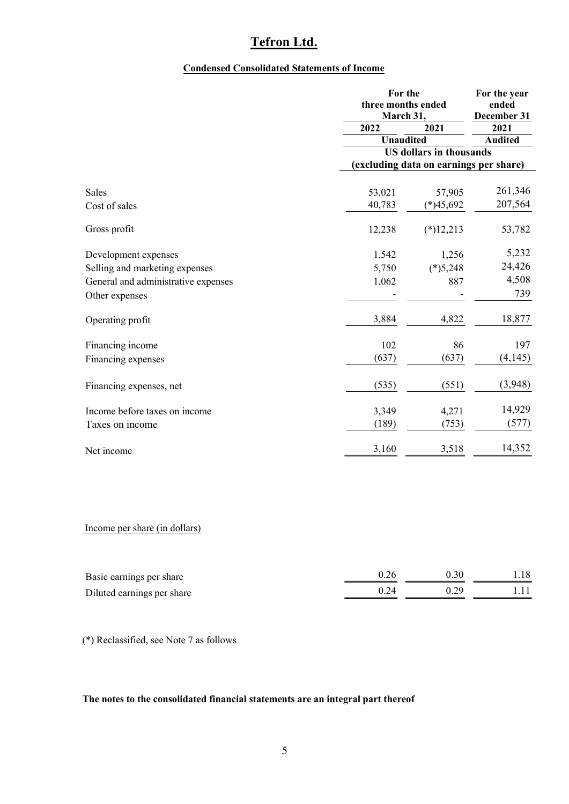## Condensed Consolidated Statements of Income

|                                     | For the            | For the year                           |                |
|-------------------------------------|--------------------|----------------------------------------|----------------|
|                                     | three months ended |                                        | ended          |
|                                     | March 31,          |                                        | December 31    |
|                                     | 2022               | 2021                                   | 2021           |
|                                     | <b>Unaudited</b>   |                                        | <b>Audited</b> |
|                                     |                    | <b>US dollars in thousands</b>         |                |
|                                     |                    | (excluding data on earnings per share) |                |
| <b>Sales</b>                        | 53,021             | 57,905                                 | 261,346        |
| Cost of sales                       | 40,783             | $(*)45,692$                            | 207,564        |
| Gross profit                        | 12,238             | $(*)12,213$                            | 53,782         |
| Development expenses                | 1,542              | 1,256                                  | 5,232          |
| Selling and marketing expenses      | 5,750              | $(*)5,248$                             | 24,426         |
| General and administrative expenses | 1,062              | 887                                    | 4,508          |
| Other expenses                      |                    |                                        | 739            |
| Operating profit                    | 3,884              | 4,822                                  | 18,877         |
| Financing income                    | 102                | 86                                     | 197            |
| Financing expenses                  | (637)              | (637)                                  | (4,145)        |
| Financing expenses, net             | (535)              | (551)                                  | (3,948)        |
| Income before taxes on income       | 3,349              | 4,271                                  | 14,929         |
| Taxes on income                     | (189)              | (753)                                  | (577)          |
|                                     |                    |                                        | 14,352         |

Income per share (in dollars)

| Basic earnings per share   |      | 0.30 | 1.18 |
|----------------------------|------|------|------|
| Diluted earnings per share | 0.24 | 0.29 |      |

(\*) Reclassified, see Note 7 as follows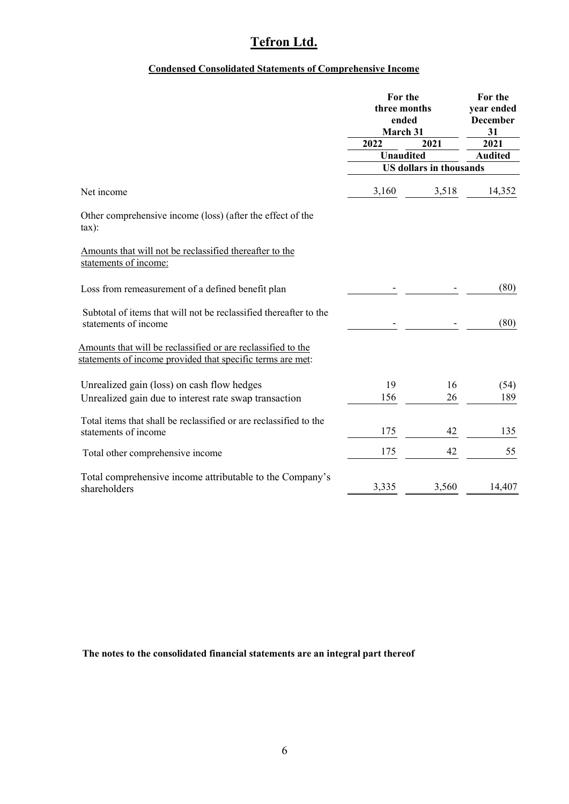## Condensed Consolidated Statements of Comprehensive Income

|                                                                                                                            | For the<br>three months<br>ended<br>March 31 | For the<br>year ended<br><b>December</b><br>31 |                |  |  |
|----------------------------------------------------------------------------------------------------------------------------|----------------------------------------------|------------------------------------------------|----------------|--|--|
|                                                                                                                            | 2022                                         | 2021                                           | 2021           |  |  |
|                                                                                                                            |                                              | <b>Unaudited</b>                               | <b>Audited</b> |  |  |
|                                                                                                                            |                                              | <b>US dollars in thousands</b>                 |                |  |  |
| Net income                                                                                                                 | 3,160                                        | 3,518                                          | 14,352         |  |  |
| Other comprehensive income (loss) (after the effect of the<br>$\max$ :                                                     |                                              |                                                |                |  |  |
| Amounts that will not be reclassified thereafter to the<br>statements of income:                                           |                                              |                                                |                |  |  |
| Loss from remeasurement of a defined benefit plan                                                                          |                                              |                                                | (80)           |  |  |
| Subtotal of items that will not be reclassified thereafter to the<br>statements of income                                  |                                              |                                                | (80)           |  |  |
| Amounts that will be reclassified or are reclassified to the<br>statements of income provided that specific terms are met: |                                              |                                                |                |  |  |
| Unrealized gain (loss) on cash flow hedges                                                                                 | 19                                           | 16                                             | (54)           |  |  |
| Unrealized gain due to interest rate swap transaction                                                                      | 156                                          | 26                                             | 189            |  |  |
| Total items that shall be reclassified or are reclassified to the<br>statements of income                                  | 175                                          | 42                                             | 135            |  |  |
| Total other comprehensive income                                                                                           | 175                                          | 42                                             | 55             |  |  |
| Total comprehensive income attributable to the Company's<br>shareholders                                                   | 3,335                                        | 3,560                                          | 14,407         |  |  |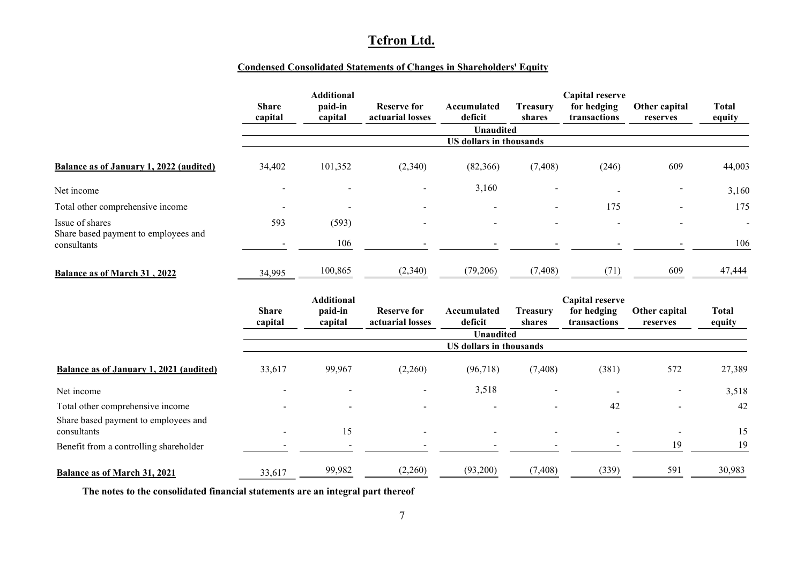## Condensed Consolidated Statements of Changes in Shareholders' Equity

|                                                         | <b>Share</b><br>capital | <b>Additional</b><br>paid-in<br>capital | <b>Reserve for</b><br>actuarial losses | Accumulated<br>deficit         | <b>Treasury</b><br>shares | Capital reserve<br>for hedging<br>transactions        | Other capital<br>reserves | <b>Total</b><br>equity |
|---------------------------------------------------------|-------------------------|-----------------------------------------|----------------------------------------|--------------------------------|---------------------------|-------------------------------------------------------|---------------------------|------------------------|
|                                                         |                         |                                         |                                        | <b>Unaudited</b>               |                           |                                                       |                           |                        |
|                                                         |                         |                                         |                                        | <b>US</b> dollars in thousands |                           |                                                       |                           |                        |
| Balance as of January 1, 2022 (audited)                 | 34,402                  | 101,352                                 | (2,340)                                | (82, 366)                      | (7, 408)                  | (246)                                                 | 609                       | 44,003                 |
| Net income                                              |                         |                                         |                                        | 3,160                          |                           |                                                       |                           | 3,160                  |
| Total other comprehensive income                        |                         |                                         |                                        |                                |                           | 175                                                   |                           | 175                    |
| Issue of shares<br>Share based payment to employees and | 593                     | (593)                                   |                                        |                                |                           |                                                       |                           | $\blacksquare$         |
| consultants                                             |                         | 106                                     |                                        |                                |                           |                                                       |                           | 106                    |
| Balance as of March 31, 2022                            | 34,995                  | 100,865                                 | (2,340)                                | (79, 206)                      | (7, 408)                  | (71)                                                  | 609                       | 47,444                 |
|                                                         | <b>Share</b><br>capital | <b>Additional</b><br>paid-in<br>capital | <b>Reserve for</b><br>actuarial losses | <b>Accumulated</b><br>deficit  | <b>Treasury</b><br>shares | <b>Capital reserve</b><br>for hedging<br>transactions | Other capital<br>reserves | <b>Total</b><br>equity |
|                                                         |                         |                                         |                                        | <b>Unaudited</b>               |                           |                                                       |                           |                        |
|                                                         |                         |                                         |                                        | <b>US dollars in thousands</b> |                           |                                                       |                           |                        |
| Balance as of January 1, 2021 (audited)                 | 33,617                  | 99,967                                  | (2,260)                                | (96, 718)                      | (7, 408)                  | (381)                                                 | 572                       | 27,389                 |
| Net income                                              |                         |                                         |                                        | 3,518                          |                           |                                                       |                           | 3,518                  |
| Total other comprehensive income                        |                         |                                         |                                        |                                |                           | 42                                                    |                           | 42                     |
| Share based payment to employees and<br>consultants     |                         | 15                                      |                                        |                                |                           |                                                       |                           | 15                     |
| Benefit from a controlling shareholder                  |                         |                                         |                                        |                                |                           |                                                       | 19                        | 19                     |
| <b>Balance as of March 31, 2021</b>                     | 33,617                  | 99,982                                  | (2,260)                                | (93,200)                       | (7, 408)                  | (339)                                                 | 591                       | 30,983                 |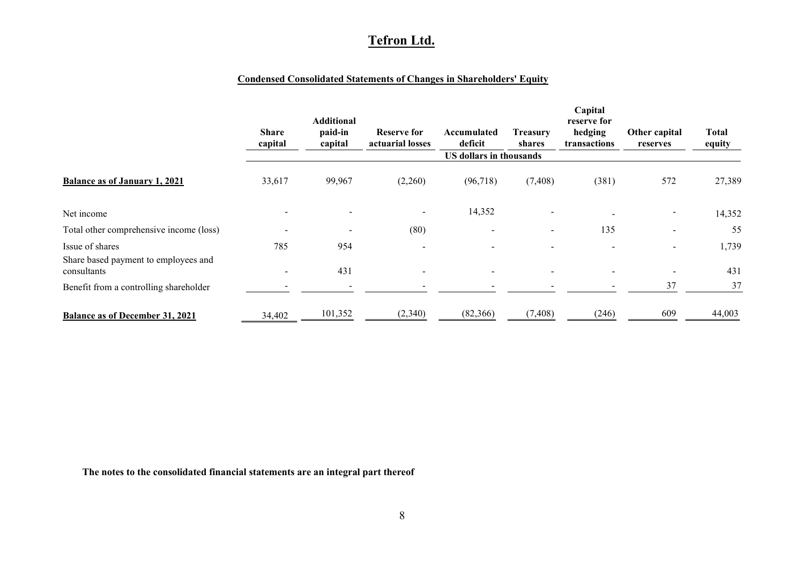#### Condensed Consolidated Statements of Changes in Shareholders' Equity

|                                                     | <b>Share</b><br>capital | <b>Additional</b><br>paid-in<br>capital | <b>Reserve for</b><br>actuarial losses | Accumulated<br>deficit         | Treasurv<br>shares | Capital<br>reserve for<br>hedging<br>transactions | Other capital<br>reserves | <b>Total</b><br>equity |
|-----------------------------------------------------|-------------------------|-----------------------------------------|----------------------------------------|--------------------------------|--------------------|---------------------------------------------------|---------------------------|------------------------|
|                                                     |                         |                                         |                                        | <b>US dollars in thousands</b> |                    |                                                   |                           |                        |
| <b>Balance as of January 1, 2021</b>                | 33,617                  | 99,967                                  | (2,260)                                | (96, 718)                      | (7, 408)           | (381)                                             | 572                       | 27,389                 |
| Net income                                          |                         |                                         |                                        | 14,352                         | -                  |                                                   | $\overline{\phantom{a}}$  | 14,352                 |
| Total other comprehensive income (loss)             |                         |                                         | (80)                                   | $\overline{\phantom{a}}$       | Ξ.                 | 135                                               |                           | 55                     |
| Issue of shares                                     | 785                     | 954                                     |                                        |                                |                    |                                                   |                           | 1,739                  |
| Share based payment to employees and<br>consultants |                         | 431                                     |                                        |                                |                    |                                                   |                           | 431                    |
| Benefit from a controlling shareholder              |                         |                                         |                                        |                                |                    |                                                   | 37                        | 37                     |
| <b>Balance as of December 31, 2021</b>              | 34,402                  | 101,352                                 | (2,340)                                | (82,366)                       | (7, 408)           | (246)                                             | 609                       | 44,003                 |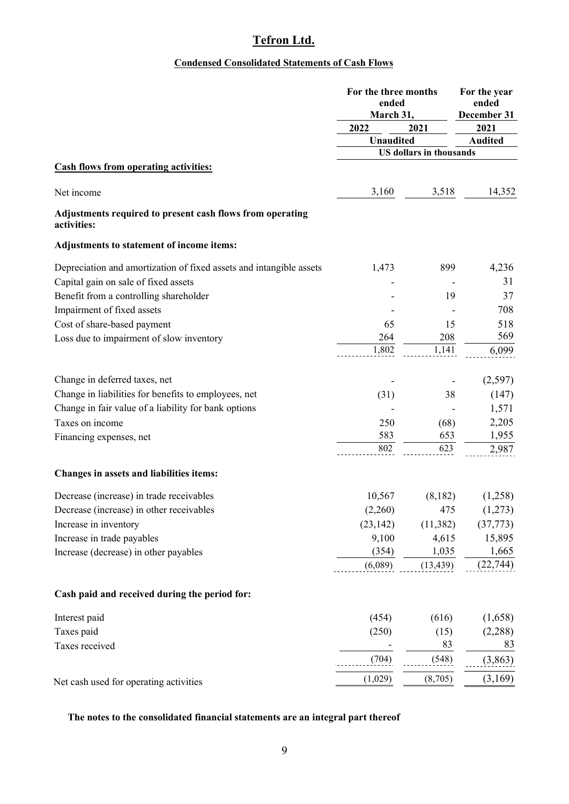# Condensed Consolidated Statements of Cash Flows

|                                                                          | For the three months<br>ended<br>March 31, | For the year<br>ended<br>December 31 |                |  |
|--------------------------------------------------------------------------|--------------------------------------------|--------------------------------------|----------------|--|
|                                                                          | 2022                                       | 2021                                 | 2021           |  |
|                                                                          | <b>Unaudited</b>                           |                                      | <b>Audited</b> |  |
|                                                                          |                                            | <b>US dollars in thousands</b>       |                |  |
| <b>Cash flows from operating activities:</b>                             |                                            |                                      |                |  |
| Net income                                                               | 3,160                                      | 3,518                                | 14,352         |  |
| Adjustments required to present cash flows from operating<br>activities: |                                            |                                      |                |  |
| Adjustments to statement of income items:                                |                                            |                                      |                |  |
| Depreciation and amortization of fixed assets and intangible assets      | 1,473                                      | 899                                  | 4,236          |  |
| Capital gain on sale of fixed assets                                     |                                            |                                      | 31             |  |
| Benefit from a controlling shareholder                                   |                                            | 19                                   | 37             |  |
| Impairment of fixed assets                                               |                                            |                                      | 708            |  |
| Cost of share-based payment                                              | 65                                         | 15                                   | 518            |  |
| Loss due to impairment of slow inventory                                 | 264                                        | 208                                  | 569            |  |
|                                                                          | 1,802                                      | 1,141                                | 6,099          |  |
| Change in deferred taxes, net                                            |                                            |                                      | (2,597)        |  |
| Change in liabilities for benefits to employees, net                     | (31)                                       | 38                                   | (147)          |  |
| Change in fair value of a liability for bank options                     |                                            |                                      | 1,571          |  |
| Taxes on income                                                          | 250                                        | (68)                                 | 2,205          |  |
| Financing expenses, net                                                  | 583                                        | 653                                  | 1,955          |  |
|                                                                          | 802                                        | 623                                  | 2,987          |  |
| Changes in assets and liabilities items:                                 |                                            |                                      |                |  |
| Decrease (increase) in trade receivables                                 | 10,567                                     | (8,182)                              | (1,258)        |  |
| Decrease (increase) in other receivables                                 | (2,260)                                    | 475                                  | (1,273)        |  |
| Increase in inventory                                                    | (23, 142)                                  | (11, 382)                            | (37, 773)      |  |
| Increase in trade payables                                               | 9,100                                      | 4,615                                | 15,895         |  |
| Increase (decrease) in other payables                                    | (354)                                      | 1,035                                | 1,665          |  |
|                                                                          | (6,089)                                    | (13, 439)                            | (22, 744)      |  |
| Cash paid and received during the period for:                            |                                            |                                      |                |  |
| Interest paid                                                            | (454)                                      | (616)                                | (1,658)        |  |
| Taxes paid                                                               | (250)                                      | (15)                                 | (2,288)        |  |
| Taxes received                                                           |                                            | 83                                   | 83             |  |
|                                                                          | (704)                                      | (548)                                | (3, 863)       |  |
| Net cash used for operating activities                                   | (1,029)                                    | (8,705)                              | (3,169)        |  |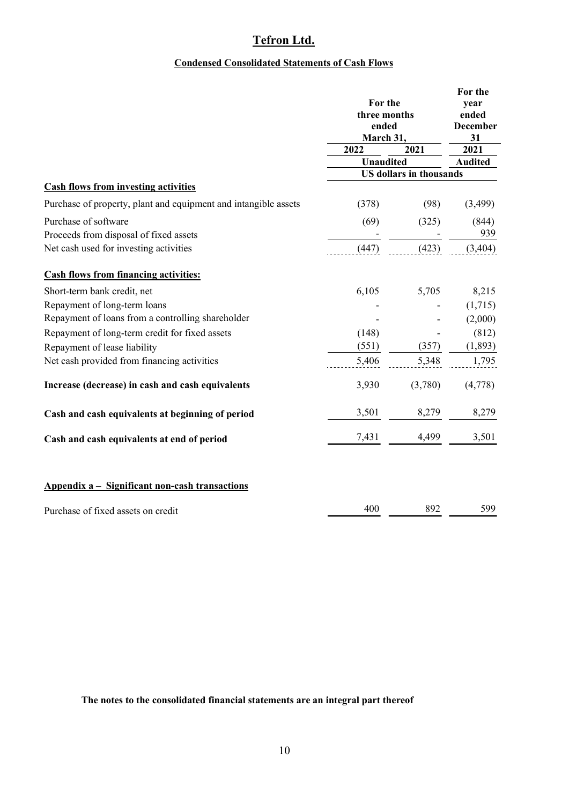# Condensed Consolidated Statements of Cash Flows

|                                                                 | For the<br>three months<br>ended<br>March 31,      |         | For the<br>vear<br>ended<br><b>December</b><br>31<br>2021<br><b>Audited</b> |  |
|-----------------------------------------------------------------|----------------------------------------------------|---------|-----------------------------------------------------------------------------|--|
|                                                                 | 2022                                               |         |                                                                             |  |
|                                                                 | <b>Unaudited</b><br><b>US dollars in thousands</b> |         |                                                                             |  |
| <b>Cash flows from investing activities</b>                     |                                                    |         |                                                                             |  |
| Purchase of property, plant and equipment and intangible assets | (378)                                              | (98)    | (3, 499)                                                                    |  |
| Purchase of software                                            | (69)                                               | (325)   | (844)                                                                       |  |
| Proceeds from disposal of fixed assets                          |                                                    |         | 939                                                                         |  |
| Net cash used for investing activities                          | (447)                                              | (423)   | (3,404)                                                                     |  |
| <b>Cash flows from financing activities:</b>                    |                                                    |         |                                                                             |  |
| Short-term bank credit, net                                     | 6,105                                              | 5,705   | 8,215                                                                       |  |
| Repayment of long-term loans                                    |                                                    |         | (1,715)                                                                     |  |
| Repayment of loans from a controlling shareholder               |                                                    |         | (2,000)                                                                     |  |
| Repayment of long-term credit for fixed assets                  | (148)                                              |         | (812)                                                                       |  |
| Repayment of lease liability                                    | (551)                                              | (357)   | (1,893)                                                                     |  |
| Net cash provided from financing activities                     | 5,406                                              | 5,348   | 1,795                                                                       |  |
| Increase (decrease) in cash and cash equivalents                | 3,930                                              | (3,780) | (4,778)                                                                     |  |
| Cash and cash equivalents at beginning of period                | 3,501                                              | 8,279   | 8,279                                                                       |  |
| Cash and cash equivalents at end of period                      | 7,431                                              | 4,499   | 3,501                                                                       |  |
| Appendix a - Significant non-cash transactions                  |                                                    |         |                                                                             |  |
| Purchase of fixed assets on credit                              | 400                                                | 892     | 599                                                                         |  |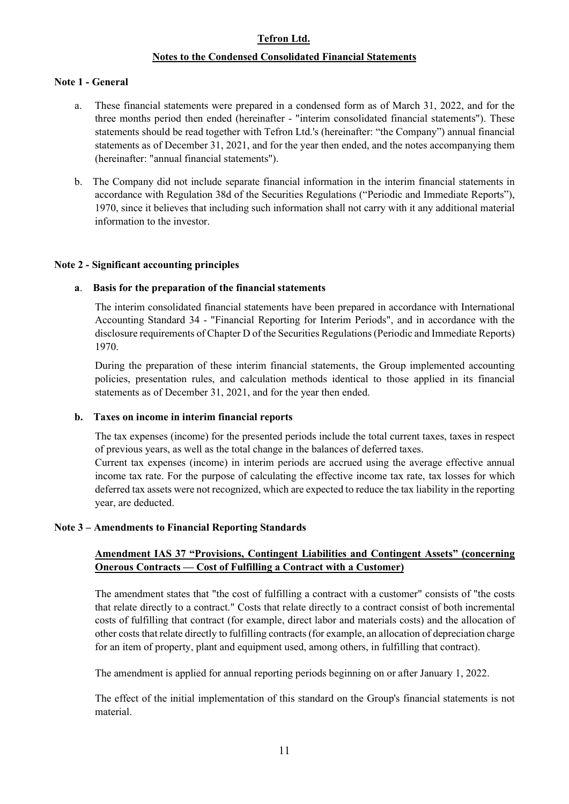#### Notes to the Condensed Consolidated Financial Statements

#### Note 1 - General

- a. These financial statements were prepared in a condensed form as of March 31, 2022, and for the three months period then ended (hereinafter - "interim consolidated financial statements"). These statements should be read together with Tefron Ltd.'s (hereinafter: "the Company") annual financial statements as of December 31, 2021, and for the year then ended, and the notes accompanying them (hereinafter: "annual financial statements").
- b. The Company did not include separate financial information in the interim financial statements in accordance with Regulation 38d of the Securities Regulations ("Periodic and Immediate Reports"), 1970, since it believes that including such information shall not carry with it any additional material information to the investor.

#### Note 2 - Significant accounting principles

#### a. Basis for the preparation of the financial statements

The interim consolidated financial statements have been prepared in accordance with International Accounting Standard 34 - "Financial Reporting for Interim Periods", and in accordance with the disclosure requirements of Chapter D of the Securities Regulations (Periodic and Immediate Reports) 1970.

During the preparation of these interim financial statements, the Group implemented accounting policies, presentation rules, and calculation methods identical to those applied in its financial statements as of December 31, 2021, and for the year then ended.

#### b. Taxes on income in interim financial reports

The tax expenses (income) for the presented periods include the total current taxes, taxes in respect of previous years, as well as the total change in the balances of deferred taxes.

Current tax expenses (income) in interim periods are accrued using the average effective annual income tax rate. For the purpose of calculating the effective income tax rate, tax losses for which deferred tax assets were not recognized, which are expected to reduce the tax liability in the reporting year, are deducted.

#### Note 3 – Amendments to Financial Reporting Standards

#### Amendment IAS 37 "Provisions, Contingent Liabilities and Contingent Assets" (concerning Onerous Contracts — Cost of Fulfilling a Contract with a Customer)

The amendment states that "the cost of fulfilling a contract with a customer" consists of "the costs that relate directly to a contract." Costs that relate directly to a contract consist of both incremental costs of fulfilling that contract (for example, direct labor and materials costs) and the allocation of other costs that relate directly to fulfilling contracts (for example, an allocation of depreciation charge for an item of property, plant and equipment used, among others, in fulfilling that contract).

The amendment is applied for annual reporting periods beginning on or after January 1, 2022.

The effect of the initial implementation of this standard on the Group's financial statements is not material.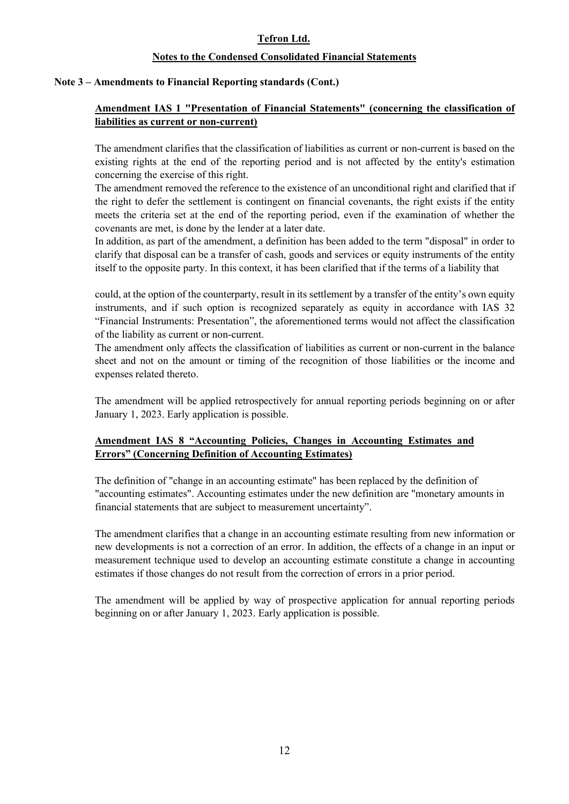#### Notes to the Condensed Consolidated Financial Statements

#### Note 3 – Amendments to Financial Reporting standards (Cont.)

#### Amendment IAS 1 "Presentation of Financial Statements" (concerning the classification of liabilities as current or non-current)

The amendment clarifies that the classification of liabilities as current or non-current is based on the existing rights at the end of the reporting period and is not affected by the entity's estimation concerning the exercise of this right.

The amendment removed the reference to the existence of an unconditional right and clarified that if the right to defer the settlement is contingent on financial covenants, the right exists if the entity meets the criteria set at the end of the reporting period, even if the examination of whether the covenants are met, is done by the lender at a later date.

In addition, as part of the amendment, a definition has been added to the term "disposal" in order to clarify that disposal can be a transfer of cash, goods and services or equity instruments of the entity itself to the opposite party. In this context, it has been clarified that if the terms of a liability that

could, at the option of the counterparty, result in its settlement by a transfer of the entity's own equity instruments, and if such option is recognized separately as equity in accordance with IAS 32 "Financial Instruments: Presentation", the aforementioned terms would not affect the classification of the liability as current or non-current.

The amendment only affects the classification of liabilities as current or non-current in the balance sheet and not on the amount or timing of the recognition of those liabilities or the income and expenses related thereto.

The amendment will be applied retrospectively for annual reporting periods beginning on or after January 1, 2023. Early application is possible.

#### Amendment IAS 8 "Accounting Policies, Changes in Accounting Estimates and Errors" (Concerning Definition of Accounting Estimates)

The definition of "change in an accounting estimate" has been replaced by the definition of "accounting estimates". Accounting estimates under the new definition are "monetary amounts in financial statements that are subject to measurement uncertainty".

The amendment clarifies that a change in an accounting estimate resulting from new information or new developments is not a correction of an error. In addition, the effects of a change in an input or measurement technique used to develop an accounting estimate constitute a change in accounting estimates if those changes do not result from the correction of errors in a prior period.

The amendment will be applied by way of prospective application for annual reporting periods beginning on or after January 1, 2023. Early application is possible.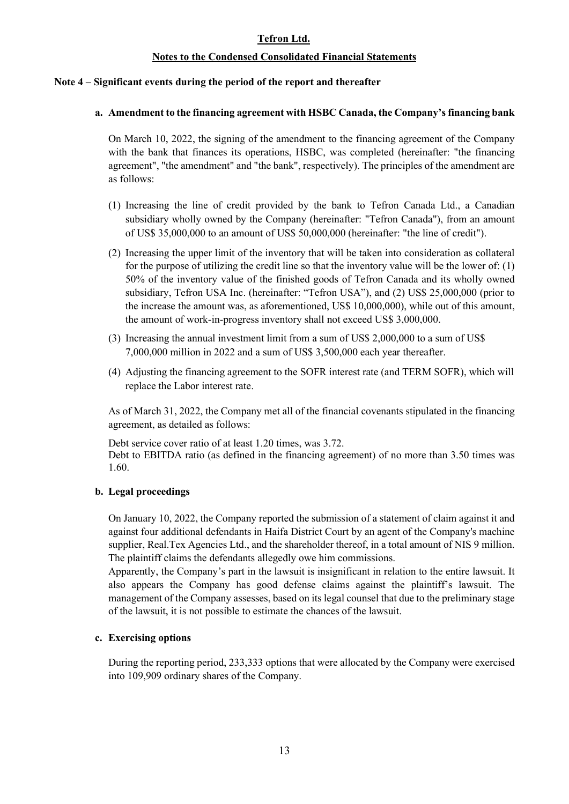#### Notes to the Condensed Consolidated Financial Statements

#### Note 4 – Significant events during the period of the report and thereafter

#### a. Amendment to the financing agreement with HSBC Canada, the Company's financing bank

On March 10, 2022, the signing of the amendment to the financing agreement of the Company with the bank that finances its operations, HSBC, was completed (hereinafter: "the financing agreement", "the amendment" and "the bank", respectively). The principles of the amendment are as follows:

- (1) Increasing the line of credit provided by the bank to Tefron Canada Ltd., a Canadian subsidiary wholly owned by the Company (hereinafter: "Tefron Canada"), from an amount of US\$ 35,000,000 to an amount of US\$ 50,000,000 (hereinafter: "the line of credit").
- (2) Increasing the upper limit of the inventory that will be taken into consideration as collateral for the purpose of utilizing the credit line so that the inventory value will be the lower of: (1) 50% of the inventory value of the finished goods of Tefron Canada and its wholly owned subsidiary, Tefron USA Inc. (hereinafter: "Tefron USA"), and (2) US\$ 25,000,000 (prior to the increase the amount was, as aforementioned, US\$ 10,000,000), while out of this amount, the amount of work-in-progress inventory shall not exceed US\$ 3,000,000.
- (3) Increasing the annual investment limit from a sum of US\$ 2,000,000 to a sum of US\$ 7,000,000 million in 2022 and a sum of US\$ 3,500,000 each year thereafter.
- (4) Adjusting the financing agreement to the SOFR interest rate (and TERM SOFR), which will replace the Labor interest rate.

As of March 31, 2022, the Company met all of the financial covenants stipulated in the financing agreement, as detailed as follows:

Debt service cover ratio of at least 1.20 times, was 3.72. Debt to EBITDA ratio (as defined in the financing agreement) of no more than 3.50 times was 1.60.

#### b. Legal proceedings

On January 10, 2022, the Company reported the submission of a statement of claim against it and against four additional defendants in Haifa District Court by an agent of the Company's machine supplier, Real.Tex Agencies Ltd., and the shareholder thereof, in a total amount of NIS 9 million. The plaintiff claims the defendants allegedly owe him commissions.

Apparently, the Company's part in the lawsuit is insignificant in relation to the entire lawsuit. It also appears the Company has good defense claims against the plaintiff's lawsuit. The management of the Company assesses, based on its legal counsel that due to the preliminary stage of the lawsuit, it is not possible to estimate the chances of the lawsuit.

#### c. Exercising options

During the reporting period, 233,333 options that were allocated by the Company were exercised into 109,909 ordinary shares of the Company.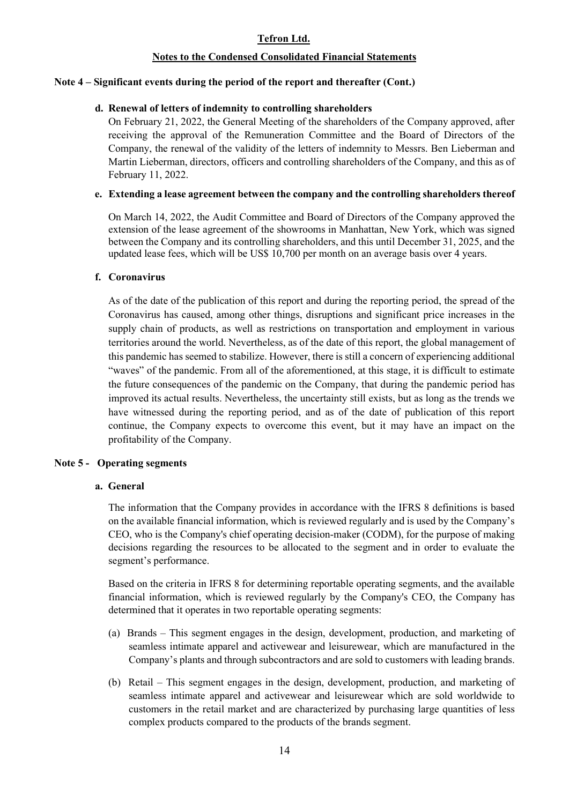#### Notes to the Condensed Consolidated Financial Statements

#### Note 4 – Significant events during the period of the report and thereafter (Cont.)

#### d. Renewal of letters of indemnity to controlling shareholders

On February 21, 2022, the General Meeting of the shareholders of the Company approved, after receiving the approval of the Remuneration Committee and the Board of Directors of the Company, the renewal of the validity of the letters of indemnity to Messrs. Ben Lieberman and Martin Lieberman, directors, officers and controlling shareholders of the Company, and this as of February 11, 2022.

#### e. Extending a lease agreement between the company and the controlling shareholders thereof

On March 14, 2022, the Audit Committee and Board of Directors of the Company approved the extension of the lease agreement of the showrooms in Manhattan, New York, which was signed between the Company and its controlling shareholders, and this until December 31, 2025, and the updated lease fees, which will be US\$ 10,700 per month on an average basis over 4 years.

#### f. Coronavirus

As of the date of the publication of this report and during the reporting period, the spread of the Coronavirus has caused, among other things, disruptions and significant price increases in the supply chain of products, as well as restrictions on transportation and employment in various territories around the world. Nevertheless, as of the date of this report, the global management of this pandemic has seemed to stabilize. However, there is still a concern of experiencing additional "waves" of the pandemic. From all of the aforementioned, at this stage, it is difficult to estimate the future consequences of the pandemic on the Company, that during the pandemic period has improved its actual results. Nevertheless, the uncertainty still exists, but as long as the trends we have witnessed during the reporting period, and as of the date of publication of this report continue, the Company expects to overcome this event, but it may have an impact on the profitability of the Company.

#### Note 5 - Operating segments

#### a. General

The information that the Company provides in accordance with the IFRS 8 definitions is based on the available financial information, which is reviewed regularly and is used by the Company's CEO, who is the Company's chief operating decision-maker (CODM), for the purpose of making decisions regarding the resources to be allocated to the segment and in order to evaluate the segment's performance.

Based on the criteria in IFRS 8 for determining reportable operating segments, and the available financial information, which is reviewed regularly by the Company's CEO, the Company has determined that it operates in two reportable operating segments:

- (a) Brands This segment engages in the design, development, production, and marketing of seamless intimate apparel and activewear and leisurewear, which are manufactured in the Company's plants and through subcontractors and are sold to customers with leading brands.
- (b) Retail This segment engages in the design, development, production, and marketing of seamless intimate apparel and activewear and leisurewear which are sold worldwide to customers in the retail market and are characterized by purchasing large quantities of less complex products compared to the products of the brands segment.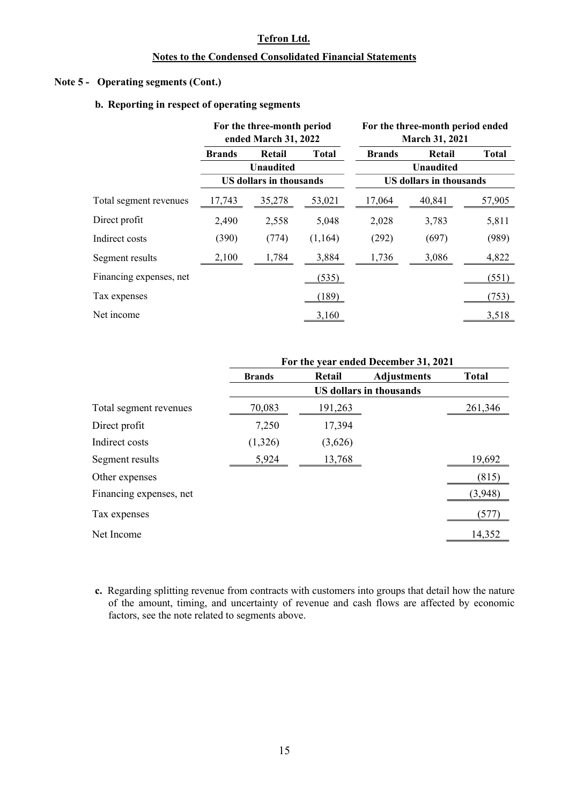#### Notes to the Condensed Consolidated Financial Statements

#### Note 5 - Operating segments (Cont.)

#### b. Reporting in respect of operating segments

|                         | For the three-month period<br>ended March 31, 2022 |                                             | For the three-month period ended<br>March 31, 2021 |               |                                                    |              |  |
|-------------------------|----------------------------------------------------|---------------------------------------------|----------------------------------------------------|---------------|----------------------------------------------------|--------------|--|
|                         | <b>Brands</b>                                      | Retail                                      | <b>Total</b>                                       | <b>Brands</b> | Retail                                             | <b>Total</b> |  |
|                         |                                                    | <b>Unaudited</b><br>US dollars in thousands |                                                    |               | <b>Unaudited</b><br><b>US dollars in thousands</b> |              |  |
|                         |                                                    |                                             |                                                    |               |                                                    |              |  |
| Total segment revenues  | 17,743                                             | 35,278                                      | 53,021                                             | 17,064        | 40,841                                             | 57,905       |  |
| Direct profit           | 2,490                                              | 2,558                                       | 5,048                                              | 2,028         | 3,783                                              | 5,811        |  |
| Indirect costs          | (390)                                              | (774)                                       | (1,164)                                            | (292)         | (697)                                              | (989)        |  |
| Segment results         | 2,100                                              | 1,784                                       | 3,884                                              | 1,736         | 3,086                                              | 4,822        |  |
| Financing expenses, net |                                                    |                                             | (535)                                              |               |                                                    | (551)        |  |
| Tax expenses            |                                                    |                                             | (189)                                              |               |                                                    | (753)        |  |
| Net income              |                                                    |                                             | 3,160                                              |               |                                                    | 3,518        |  |

|                         | For the year ended December 31, 2021 |               |                    |              |  |
|-------------------------|--------------------------------------|---------------|--------------------|--------------|--|
|                         | <b>Brands</b>                        | <b>Retail</b> | <b>Adjustments</b> | <b>Total</b> |  |
|                         | <b>US dollars in thousands</b>       |               |                    |              |  |
| Total segment revenues  | 70,083                               | 191,263       |                    | 261,346      |  |
| Direct profit           | 7,250                                | 17,394        |                    |              |  |
| Indirect costs          | (1,326)                              | (3,626)       |                    |              |  |
| Segment results         | 5,924                                | 13,768        |                    | 19,692       |  |
| Other expenses          |                                      |               |                    | (815)        |  |
| Financing expenses, net |                                      |               |                    | (3,948)      |  |
| Tax expenses            |                                      |               |                    | (577)        |  |
| Net Income              |                                      |               |                    | 14,352       |  |

c. Regarding splitting revenue from contracts with customers into groups that detail how the nature of the amount, timing, and uncertainty of revenue and cash flows are affected by economic factors, see the note related to segments above.